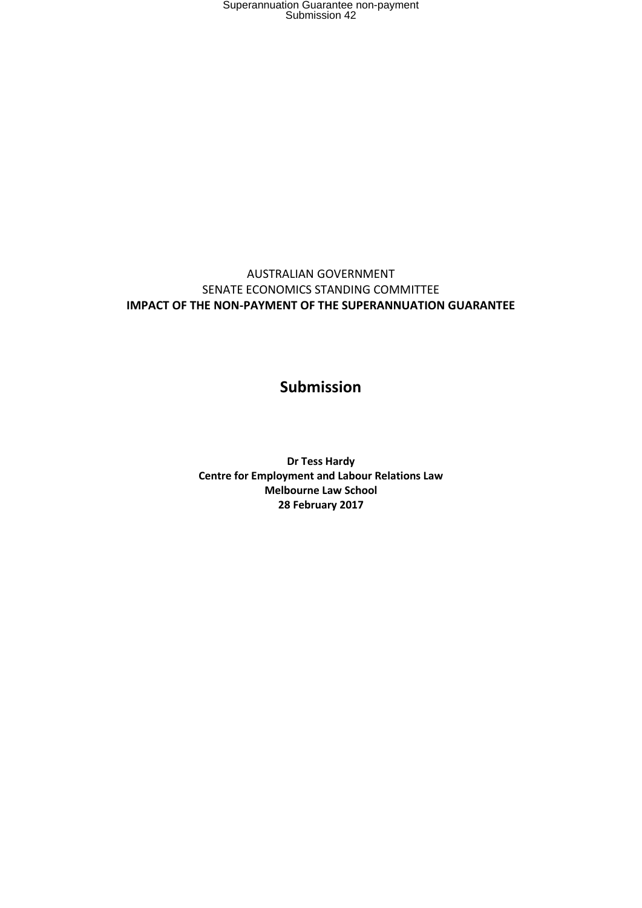### AUSTRALIAN GOVERNMENT SENATE ECONOMICS STANDING COMMITTEE **IMPACT OF THE NON-PAYMENT OF THE SUPERANNUATION GUARANTEE**

### **Submission**

**Dr Tess Hardy Centre for Employment and Labour Relations Law Melbourne Law School 28 February 2017**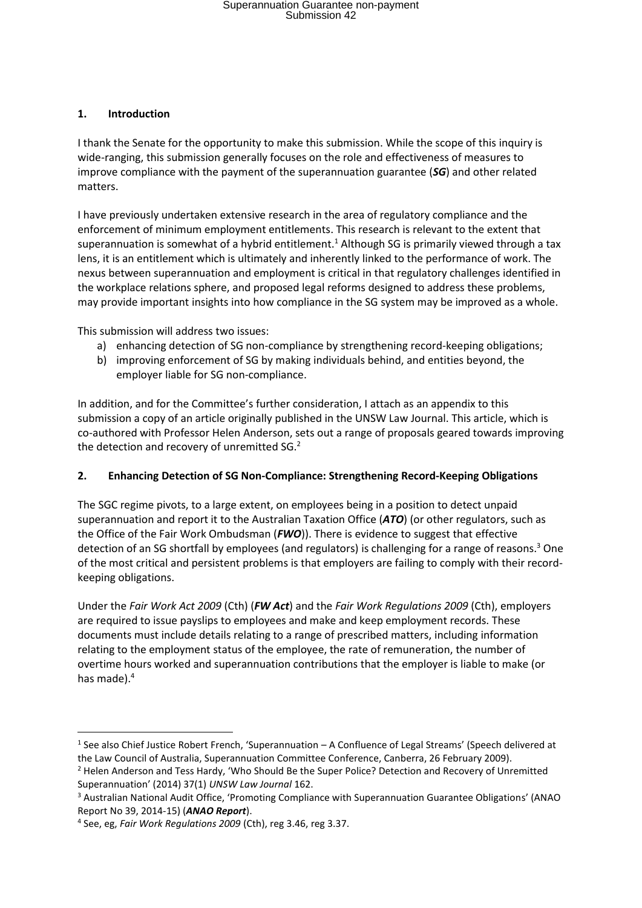#### **1. Introduction**

I thank the Senate for the opportunity to make this submission. While the scope of this inquiry is wide-ranging, this submission generally focuses on the role and effectiveness of measures to improve compliance with the payment of the superannuation guarantee (*SG*) and other related matters.

I have previously undertaken extensive research in the area of regulatory compliance and the enforcement of minimum employment entitlements. This research is relevant to the extent that superannuation is somewhat of a hybrid entitlement.<sup>1</sup> Although SG is primarily viewed through a tax lens, it is an entitlement which is ultimately and inherently linked to the performance of work. The nexus between superannuation and employment is critical in that regulatory challenges identified in the workplace relations sphere, and proposed legal reforms designed to address these problems, may provide important insights into how compliance in the SG system may be improved as a whole.

This submission will address two issues:

- a) enhancing detection of SG non-compliance by strengthening record-keeping obligations;
- b) improving enforcement of SG by making individuals behind, and entities beyond, the employer liable for SG non-compliance.

In addition, and for the Committee's further consideration, I attach as an appendix to this submission a copy of an article originally published in the UNSW Law Journal. This article, which is co-authored with Professor Helen Anderson, sets out a range of proposals geared towards improving the detection and recovery of unremitted SG.<sup>2</sup>

#### **2. Enhancing Detection of SG Non-Compliance: Strengthening Record-Keeping Obligations**

The SGC regime pivots, to a large extent, on employees being in a position to detect unpaid superannuation and report it to the Australian Taxation Office (*ATO*) (or other regulators, such as the Office of the Fair Work Ombudsman (*FWO*)). There is evidence to suggest that effective detection of an SG shortfall by employees (and regulators) is challenging for a range of reasons.<sup>3</sup> One of the most critical and persistent problems is that employers are failing to comply with their recordkeeping obligations.

Under the *Fair Work Act 2009* (Cth) (*FW Act*) and the *Fair Work Regulations 2009* (Cth), employers are required to issue payslips to employees and make and keep employment records. These documents must include details relating to a range of prescribed matters, including information relating to the employment status of the employee, the rate of remuneration, the number of overtime hours worked and superannuation contributions that the employer is liable to make (or has made). 4

 $\overline{a}$ 

<sup>&</sup>lt;sup>1</sup> See also Chief Justice Robert French, 'Superannuation – A Confluence of Legal Streams' (Speech delivered at the Law Council of Australia, Superannuation Committee Conference, Canberra, 26 February 2009). <sup>2</sup> Helen Anderson and Tess Hardy, 'Who Should Be the Super Police? Detection and Recovery of Unremitted

Superannuation' (2014) 37(1) *UNSW Law Journal* 162. <sup>3</sup> Australian National Audit Office, 'Promoting Compliance with Superannuation Guarantee Obligations' (ANAO Report No 39, 2014-15) (*ANAO Report*).

<sup>4</sup> See, eg, *Fair Work Regulations 2009* (Cth), reg 3.46, reg 3.37.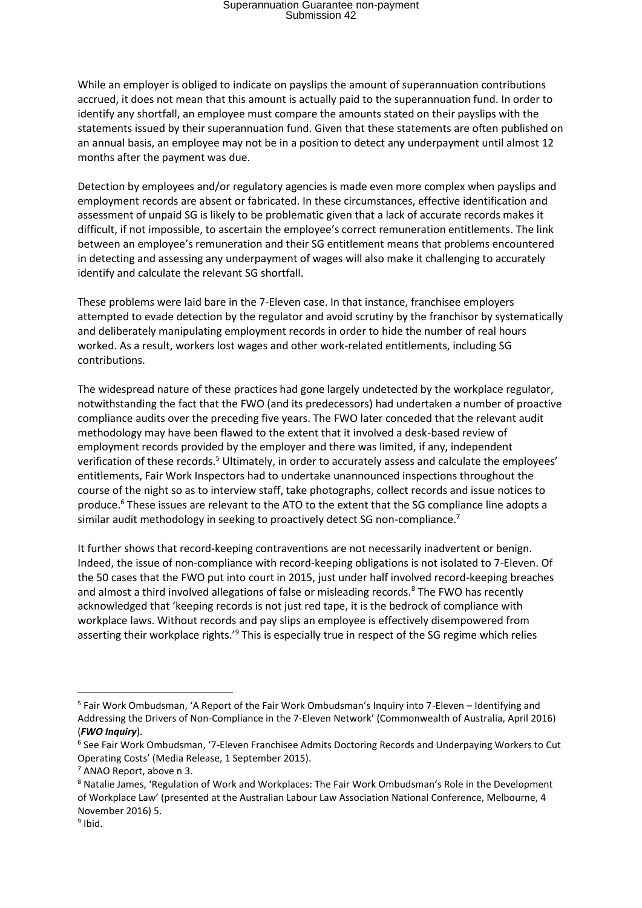While an employer is obliged to indicate on payslips the amount of superannuation contributions accrued, it does not mean that this amount is actually paid to the superannuation fund. In order to identify any shortfall, an employee must compare the amounts stated on their payslips with the statements issued by their superannuation fund. Given that these statements are often published on an annual basis, an employee may not be in a position to detect any underpayment until almost 12 months after the payment was due.

Detection by employees and/or regulatory agencies is made even more complex when payslips and employment records are absent or fabricated. In these circumstances, effective identification and assessment of unpaid SG is likely to be problematic given that a lack of accurate records makes it difficult, if not impossible, to ascertain the employee's correct remuneration entitlements. The link between an employee's remuneration and their SG entitlement means that problems encountered in detecting and assessing any underpayment of wages will also make it challenging to accurately identify and calculate the relevant SG shortfall.

These problems were laid bare in the 7-Eleven case. In that instance, franchisee employers attempted to evade detection by the regulator and avoid scrutiny by the franchisor by systematically and deliberately manipulating employment records in order to hide the number of real hours worked. As a result, workers lost wages and other work-related entitlements, including SG contributions.

The widespread nature of these practices had gone largely undetected by the workplace regulator, notwithstanding the fact that the FWO (and its predecessors) had undertaken a number of proactive compliance audits over the preceding five years. The FWO later conceded that the relevant audit methodology may have been flawed to the extent that it involved a desk-based review of employment records provided by the employer and there was limited, if any, independent verification of these records.<sup>5</sup> Ultimately, in order to accurately assess and calculate the employees' entitlements, Fair Work Inspectors had to undertake unannounced inspections throughout the course of the night so as to interview staff, take photographs, collect records and issue notices to produce.<sup>6</sup> These issues are relevant to the ATO to the extent that the SG compliance line adopts a similar audit methodology in seeking to proactively detect SG non-compliance.<sup>7</sup>

It further shows that record-keeping contraventions are not necessarily inadvertent or benign. Indeed, the issue of non-compliance with record-keeping obligations is not isolated to 7-Eleven. Of the 50 cases that the FWO put into court in 2015, just under half involved record-keeping breaches and almost a third involved allegations of false or misleading records.<sup>8</sup> The FWO has recently acknowledged that 'keeping records is not just red tape, it is the bedrock of compliance with workplace laws. Without records and pay slips an employee is effectively disempowered from asserting their workplace rights.<sup>'9</sup> This is especially true in respect of the SG regime which relies

**.** 

<sup>&</sup>lt;sup>5</sup> Fair Work Ombudsman, 'A Report of the Fair Work Ombudsman's Inquiry into 7-Eleven – Identifying and Addressing the Drivers of Non-Compliance in the 7-Eleven Network' (Commonwealth of Australia, April 2016) (*FWO Inquiry*).

<sup>&</sup>lt;sup>6</sup> See Fair Work Ombudsman, '7-Eleven Franchisee Admits Doctoring Records and Underpaying Workers to Cut Operating Costs' (Media Release, 1 September 2015).

<sup>7</sup> ANAO Report, above n 3.

<sup>8</sup> Natalie James, 'Regulation of Work and Workplaces: The Fair Work Ombudsman's Role in the Development of Workplace Law' (presented at the Australian Labour Law Association National Conference, Melbourne, 4 November 2016) 5.

<sup>&</sup>lt;sup>9</sup> Ibid.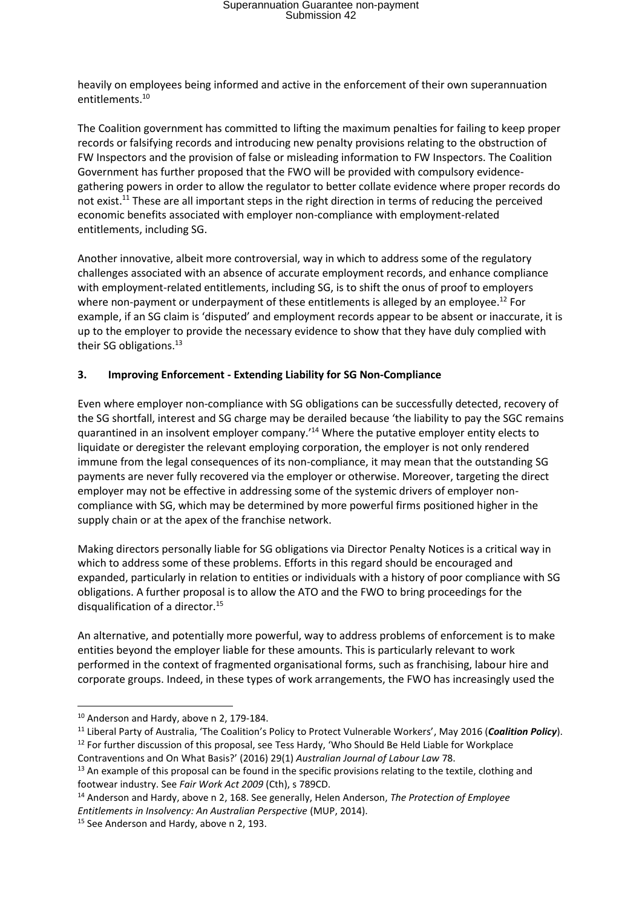heavily on employees being informed and active in the enforcement of their own superannuation entitlements.<sup>10</sup>

The Coalition government has committed to lifting the maximum penalties for failing to keep proper records or falsifying records and introducing new penalty provisions relating to the obstruction of FW Inspectors and the provision of false or misleading information to FW Inspectors. The Coalition Government has further proposed that the FWO will be provided with compulsory evidencegathering powers in order to allow the regulator to better collate evidence where proper records do not exist.<sup>11</sup> These are all important steps in the right direction in terms of reducing the perceived economic benefits associated with employer non-compliance with employment-related entitlements, including SG.

Another innovative, albeit more controversial, way in which to address some of the regulatory challenges associated with an absence of accurate employment records, and enhance compliance with employment-related entitlements, including SG, is to shift the onus of proof to employers where non-payment or underpayment of these entitlements is alleged by an employee.<sup>12</sup> For example, if an SG claim is 'disputed' and employment records appear to be absent or inaccurate, it is up to the employer to provide the necessary evidence to show that they have duly complied with their SG obligations.<sup>13</sup>

#### **3. Improving Enforcement - Extending Liability for SG Non-Compliance**

Even where employer non-compliance with SG obligations can be successfully detected, recovery of the SG shortfall, interest and SG charge may be derailed because 'the liability to pay the SGC remains quarantined in an insolvent employer company.'<sup>14</sup> Where the putative employer entity elects to liquidate or deregister the relevant employing corporation, the employer is not only rendered immune from the legal consequences of its non-compliance, it may mean that the outstanding SG payments are never fully recovered via the employer or otherwise. Moreover, targeting the direct employer may not be effective in addressing some of the systemic drivers of employer noncompliance with SG, which may be determined by more powerful firms positioned higher in the supply chain or at the apex of the franchise network.

Making directors personally liable for SG obligations via Director Penalty Notices is a critical way in which to address some of these problems. Efforts in this regard should be encouraged and expanded, particularly in relation to entities or individuals with a history of poor compliance with SG obligations. A further proposal is to allow the ATO and the FWO to bring proceedings for the disqualification of a director.<sup>15</sup>

An alternative, and potentially more powerful, way to address problems of enforcement is to make entities beyond the employer liable for these amounts. This is particularly relevant to work performed in the context of fragmented organisational forms, such as franchising, labour hire and corporate groups. Indeed, in these types of work arrangements, the FWO has increasingly used the

1

<sup>&</sup>lt;sup>10</sup> Anderson and Hardy, above n 2, 179-184.

<sup>11</sup> Liberal Party of Australia, 'The Coalition's Policy to Protect Vulnerable Workers', May 2016 (*Coalition Policy*).

 $12$  For further discussion of this proposal, see Tess Hardy, 'Who Should Be Held Liable for Workplace Contraventions and On What Basis?' (2016) 29(1) *Australian Journal of Labour Law* 78.

 $13$  An example of this proposal can be found in the specific provisions relating to the textile, clothing and footwear industry. See *Fair Work Act 2009* (Cth), s 789CD.

<sup>14</sup> Anderson and Hardy, above n 2, 168. See generally, Helen Anderson, *The Protection of Employee Entitlements in Insolvency: An Australian Perspective* (MUP, 2014).

<sup>&</sup>lt;sup>15</sup> See Anderson and Hardy, above n 2, 193.